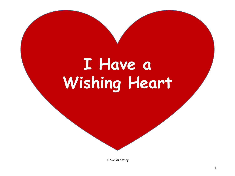## **I Have a Wishing Heart**

*A Social Story*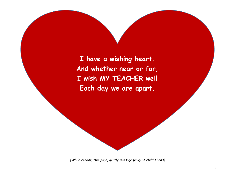**I have a wishing heart. And whether near or far, I wish MY TEACHER well Each day we are apart.**

*(While reading this page, gently massage pinky of child's hand)*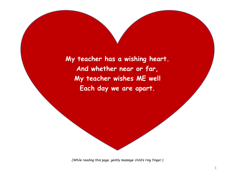**My teacher has a wishing heart. And whether near or far, My teacher wishes ME well Each day we are apart.**

*(While reading this page, gently massage child's ring finger.)*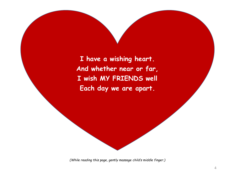**I have a wishing heart. And whether near or far, I wish MY FRIENDS well Each day we are apart.**

*(While reading this page, gently massage child's middle finger.)*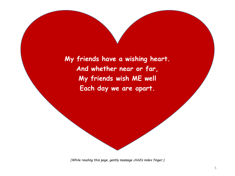**My friends have a wishing heart. And whether near or far, My friends wish ME well Each day we are apart.**

*(While reading this page, gently massage child's index finger.)*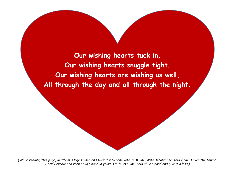**Our wishing hearts tuck in, Our wishing hearts snuggle tight. Our wishing hearts are wishing us well, All through the day and all through the night.**

*(While reading this page, gently massage thumb and tuck it into palm with first line. With second line, fold fingers over the thumb. Gently cradle and rock child's hand in yours. On fourth line, hold child's hand and give it a kiss.)*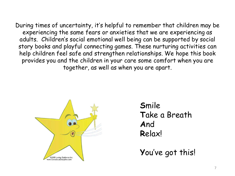During times of uncertainty, it's helpful to remember that children may be experiencing the same fears or anxieties that we are experiencing as adults. Children's social emotional well being can be supported by social story books and playful connecting games. These nurturing activities can help children feel safe and strengthen relationships. We hope this book provides you and the children in your care some comfort when you are together, as well as when you are apart.



**S**mile **T**ake a Breath **A**nd **R**elax!

**Y**ou've got this!